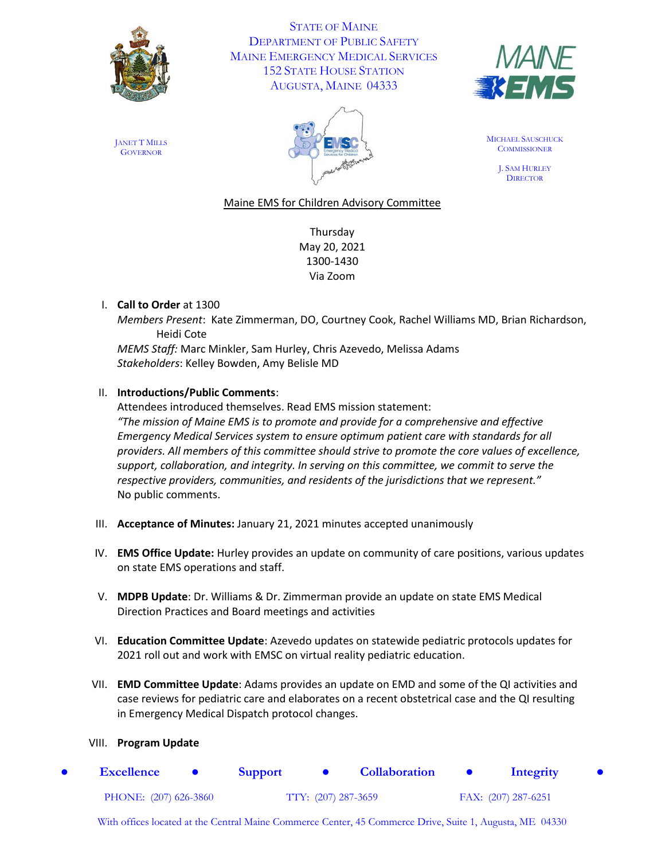

STATE OF MAINE DEPARTMENT OF PUBLIC SAFETY MAINE EMERGENCY MEDICAL SERVICES 152 STATE HOUSE STATION AUGUSTA, MAINE 04333



JANET T MILLS **GOVERNOR** 



MICHAEL SAUSCHUCK **COMMISSIONER** 

> J. SAM HURLEY **DIRECTOR**

## Maine EMS for Children Advisory Committee

Thursday May 20, 2021 1300-1430 Via Zoom

## I. **Call to Order** at 1300

*Members Present*: Kate Zimmerman, DO, Courtney Cook, Rachel Williams MD, Brian Richardson, Heidi Cote

*MEMS Staff:* Marc Minkler, Sam Hurley, Chris Azevedo, Melissa Adams *Stakeholders*: Kelley Bowden, Amy Belisle MD

#### II. **Introductions/Public Comments**:

Attendees introduced themselves. Read EMS mission statement: *"The mission of Maine EMS is to promote and provide for a comprehensive and effective Emergency Medical Services system to ensure optimum patient care with standards for all providers. All members of this committee should strive to promote the core values of excellence, support, collaboration, and integrity. In serving on this committee, we commit to serve the respective providers, communities, and residents of the jurisdictions that we represent."* No public comments.

- III. **Acceptance of Minutes:** January 21, 2021 minutes accepted unanimously
- IV. **EMS Office Update:** Hurley provides an update on community of care positions, various updates on state EMS operations and staff.
- V. **MDPB Update**: Dr. Williams & Dr. Zimmerman provide an update on state EMS Medical Direction Practices and Board meetings and activities
- VI. **Education Committee Update**: Azevedo updates on statewide pediatric protocols updates for 2021 roll out and work with EMSC on virtual reality pediatric education.
- VII. **EMD Committee Update**: Adams provides an update on EMD and some of the QI activities and case reviews for pediatric care and elaborates on a recent obstetrical case and the QI resulting in Emergency Medical Dispatch protocol changes.

#### VIII. **Program Update**

● **Excellence** ● **Support** ● **Collaboration** ● **Integrity** ● PHONE: (207) 626-3860 TTY: (207) 287-3659 FAX: (207) 287-6251

With offices located at the Central Maine Commerce Center, 45 Commerce Drive, Suite 1, Augusta, ME 04330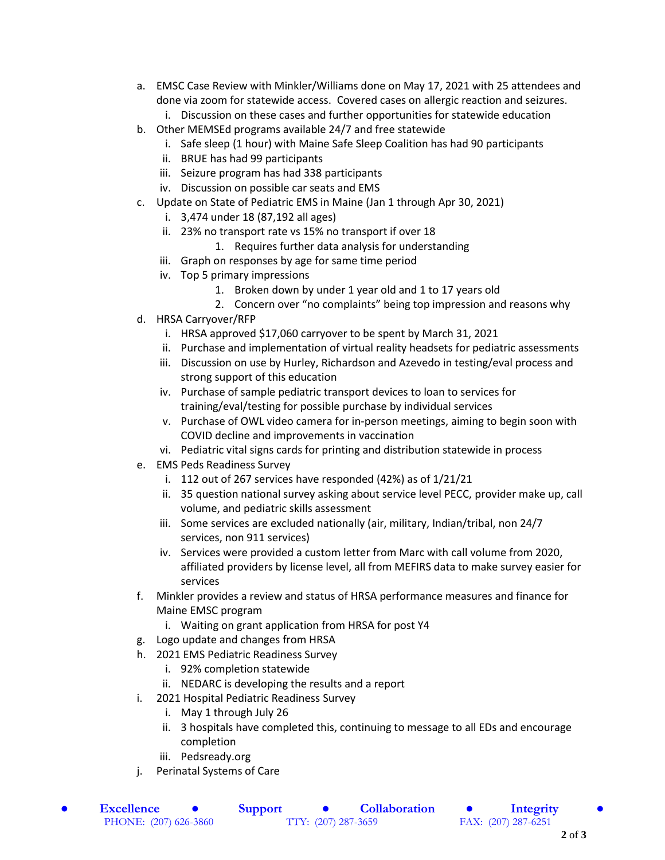- a. EMSC Case Review with Minkler/Williams done on May 17, 2021 with 25 attendees and done via zoom for statewide access. Covered cases on allergic reaction and seizures.
	- i. Discussion on these cases and further opportunities for statewide education
- b. Other MEMSEd programs available 24/7 and free statewide
	- i. Safe sleep (1 hour) with Maine Safe Sleep Coalition has had 90 participants
	- ii. BRUE has had 99 participants
	- iii. Seizure program has had 338 participants
	- iv. Discussion on possible car seats and EMS
- c. Update on State of Pediatric EMS in Maine (Jan 1 through Apr 30, 2021)
	- i. 3,474 under 18 (87,192 all ages)
	- ii. 23% no transport rate vs 15% no transport if over 18
		- 1. Requires further data analysis for understanding
	- iii. Graph on responses by age for same time period
	- iv. Top 5 primary impressions
		- 1. Broken down by under 1 year old and 1 to 17 years old
		- 2. Concern over "no complaints" being top impression and reasons why
- d. HRSA Carryover/RFP
	- i. HRSA approved \$17,060 carryover to be spent by March 31, 2021
	- ii. Purchase and implementation of virtual reality headsets for pediatric assessments
	- iii. Discussion on use by Hurley, Richardson and Azevedo in testing/eval process and strong support of this education
	- iv. Purchase of sample pediatric transport devices to loan to services for training/eval/testing for possible purchase by individual services
	- v. Purchase of OWL video camera for in-person meetings, aiming to begin soon with COVID decline and improvements in vaccination
	- vi. Pediatric vital signs cards for printing and distribution statewide in process
- e. EMS Peds Readiness Survey
	- i. 112 out of 267 services have responded (42%) as of 1/21/21
	- ii. 35 question national survey asking about service level PECC, provider make up, call volume, and pediatric skills assessment
	- iii. Some services are excluded nationally (air, military, Indian/tribal, non 24/7 services, non 911 services)
	- iv. Services were provided a custom letter from Marc with call volume from 2020, affiliated providers by license level, all from MEFIRS data to make survey easier for services
- f. Minkler provides a review and status of HRSA performance measures and finance for Maine EMSC program
	- i. Waiting on grant application from HRSA for post Y4
- g. Logo update and changes from HRSA
- h. 2021 EMS Pediatric Readiness Survey
	- i. 92% completion statewide
	- ii. NEDARC is developing the results and a report
- i. 2021 Hospital Pediatric Readiness Survey
	- i. May 1 through July 26
	- ii. 3 hospitals have completed this, continuing to message to all EDs and encourage completion
	- iii. Pedsready.org
- j. Perinatal Systems of Care

● **Excellence** ● **Support** ● **Collaboration** ● **Integrity** ● PHONE: (207) 626-3860 TTY: (207) 287-3659 FAX: (207) 287-6251